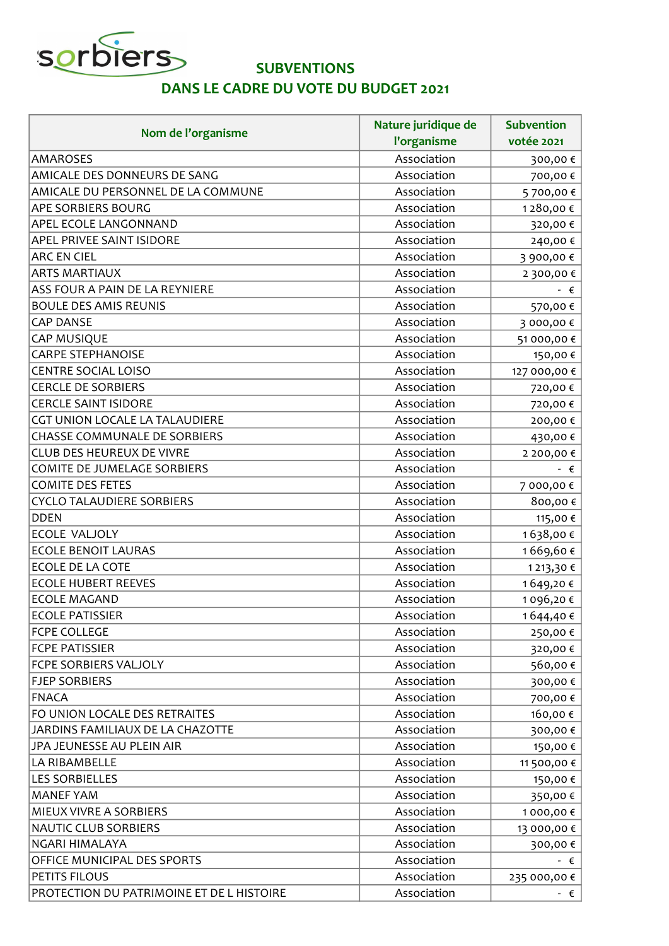

## **SUBVENTIONS**

## DANS LE CADRE DU VOTE DU BUDGET 2021

| Nom de l'organisme                        | Nature juridique de<br>l'organisme | <b>Subvention</b><br>votée 2021 |
|-------------------------------------------|------------------------------------|---------------------------------|
| <b>AMAROSES</b>                           | Association                        | 300,00€                         |
| AMICALE DES DONNEURS DE SANG              | Association                        | 700,00€                         |
| AMICALE DU PERSONNEL DE LA COMMUNE        | Association                        | 5 700,00 €                      |
| APE SORBIERS BOURG                        | Association                        | 1280,00€                        |
| APEL ECOLE LANGONNAND                     | Association                        | 320,00€                         |
| APEL PRIVEE SAINT ISIDORE                 | Association                        | 240,00€                         |
| <b>ARC EN CIEL</b>                        | Association                        | 3 900,00 €                      |
| <b>ARTS MARTIAUX</b>                      | Association                        | 2 300,00 €                      |
| ASS FOUR A PAIN DE LA REYNIERE            | Association                        | $ \epsilon$                     |
| <b>BOULE DES AMIS REUNIS</b>              | Association                        | 570,00€                         |
| <b>CAP DANSE</b>                          | Association                        | 3 000,00 €                      |
| CAP MUSIQUE                               | Association                        | 51 000,00 €                     |
| <b>CARPE STEPHANOISE</b>                  | Association                        | 150,00 €                        |
| CENTRE SOCIAL LOISO                       | Association                        | 127 000,00 €                    |
| <b>CERCLE DE SORBIERS</b>                 | Association                        | 720,00€                         |
| <b>CERCLE SAINT ISIDORE</b>               | Association                        | 720,00€                         |
| CGT UNION LOCALE LA TALAUDIERE            | Association                        | 200,00€                         |
| CHASSE COMMUNALE DE SORBIERS              | Association                        | 430,00€                         |
| <b>CLUB DES HEUREUX DE VIVRE</b>          | Association                        | 2 200,00 €                      |
| COMITE DE JUMELAGE SORBIERS               | Association                        | - €                             |
| <b>COMITE DES FETES</b>                   | Association                        | 7 000,00 €                      |
| <b>CYCLO TALAUDIERE SORBIERS</b>          | Association                        | 800,00€                         |
| <b>DDEN</b>                               | Association                        | 115,00 €                        |
| ECOLE VALJOLY                             | Association                        | 1638,00€                        |
| <b>ECOLE BENOIT LAURAS</b>                | Association                        | 1669,60€                        |
| ECOLE DE LA COTE                          | Association                        | 1 213,30 €                      |
| <b>ECOLE HUBERT REEVES</b>                | Association                        | 1649,20€                        |
| <b>ECOLE MAGAND</b>                       | Association                        | 1 096,20 €                      |
| <b>ECOLE PATISSIER</b>                    | Association                        | 1644,40€                        |
| <b>FCPE COLLEGE</b>                       | Association                        | 250,00€                         |
| <b>FCPE PATISSIER</b>                     | Association                        | 320,00 €                        |
| FCPE SORBIERS VALJOLY                     | Association                        | 560,00€                         |
| <b>FJEP SORBIERS</b>                      | Association                        | 300,00€                         |
| <b>FNACA</b>                              | Association                        | 700,00 €                        |
| FO UNION LOCALE DES RETRAITES             | Association                        | 160,00 €                        |
| JARDINS FAMILIAUX DE LA CHAZOTTE          | Association                        | 300,00€                         |
| JPA JEUNESSE AU PLEIN AIR                 | Association                        | 150,00 €                        |
| LA RIBAMBELLE                             | Association                        | 11 500,00 €                     |
| <b>LES SORBIELLES</b>                     | Association                        | 150,00 €                        |
| <b>MANEF YAM</b>                          | Association                        | 350,00 €                        |
| MIEUX VIVRE A SORBIERS                    | Association                        | 1 000,00 €                      |
| <b>NAUTIC CLUB SORBIERS</b>               | Association                        | 13 000,00 €                     |
| NGARI HIMALAYA                            | Association                        | 300,00€                         |
| OFFICE MUNICIPAL DES SPORTS               | Association                        | $ \epsilon$                     |
| PETITS FILOUS                             | Association                        | 235 000,00 €                    |
| PROTECTION DU PATRIMOINE ET DE L HISTOIRE | Association                        | $ \epsilon$                     |